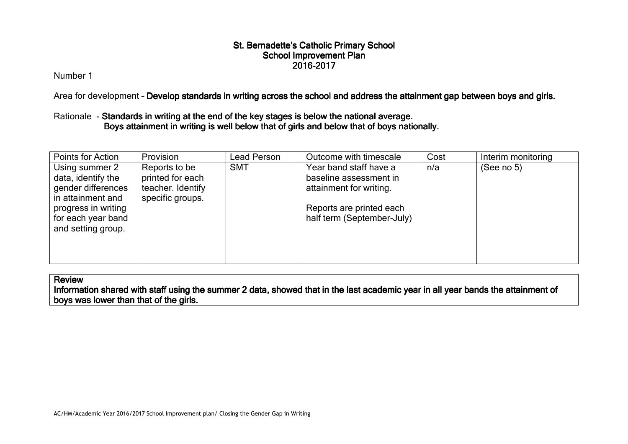Number 1

Area for development - <mark>Develop standards in writing across the school and address the attainment gap between boys and girls.</mark>

# Rationale - Standards in writing at the end of the key stages is below the national average. Boys attainment in writing is well below that of girls and below that of boys nationally.

| Points for Action                                                                                                                                  | Provision                                                                  | Lead Person | Outcome with timescale                                                                                                                | Cost | Interim monitoring |
|----------------------------------------------------------------------------------------------------------------------------------------------------|----------------------------------------------------------------------------|-------------|---------------------------------------------------------------------------------------------------------------------------------------|------|--------------------|
| Using summer 2<br>data, identify the<br>gender differences<br>in attainment and<br>progress in writing<br>for each year band<br>and setting group. | Reports to be<br>printed for each<br>teacher. Identify<br>specific groups. | <b>SMT</b>  | Year band staff have a<br>baseline assessment in<br>attainment for writing.<br>Reports are printed each<br>half term (September-July) | n/a  | (See no $5$ )      |

**Review** 

Information shared with staff using the summer 2 data, showed that in the last academic year in all year bands the attainment of boys was lower than that of the girls.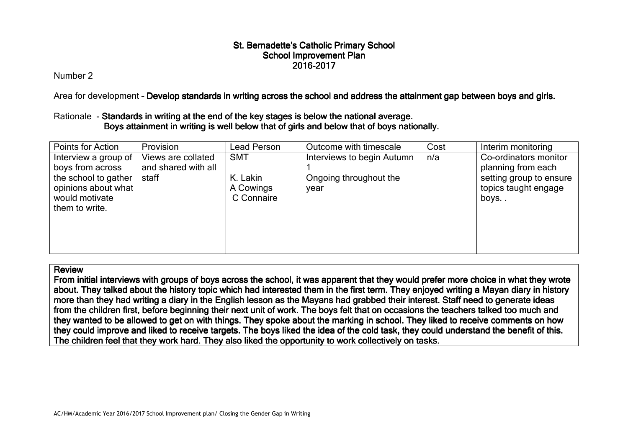Number 2

Area for development - <mark>Develop standards in writing across the school and address the attainment gap between boys and girls.</mark>

# Rationale - Standards in writing at the end of the key stages is below the national average.<br>
In the national average. very sell the key stages is below the national average. Boys attainment in writing is well below that of girls and below that of boys nationally.

| Points for Action                                                                                                           | Provision                                          | Lead Person                                       | Outcome with timescale                                       | Cost | Interim monitoring                                                                                     |
|-----------------------------------------------------------------------------------------------------------------------------|----------------------------------------------------|---------------------------------------------------|--------------------------------------------------------------|------|--------------------------------------------------------------------------------------------------------|
| Interview a group of<br>boys from across<br>the school to gather<br>opinions about what<br>would motivate<br>them to write. | Views are collated<br>and shared with all<br>staff | <b>SMT</b><br>K. Lakin<br>A Cowings<br>C Connaire | Interviews to begin Autumn<br>Ongoing throughout the<br>vear | n/a  | Co-ordinators monitor<br>planning from each<br>setting group to ensure<br>topics taught engage<br>boys |

#### Review

From initial interviews with groups of boys across the school, it was apparent that they would prefer more choice in what they wrote about. They talked about the history topic which had interested them in the first term. They enjoyed writing a Mayan diary in history<br>mare than thay had writing a diany in the English lesson as the Mayans had grabbed their more than they had writing a diary in the English lesson as the Mayans had grabbed their interest. Staff need to generate ideas from the children first, before beginning their next unit of work. The boys felt that on occasions the teachers talked too much and they wanted to be allowed to get on with things. They spoke about the marking in school. They liked to receive comments on how they could improve and liked to receive targets. The boys liked the idea of the cold task, they could understand the benefit of this. The children feel that they work hard. They also liked the opportunity to work collectively on tasks.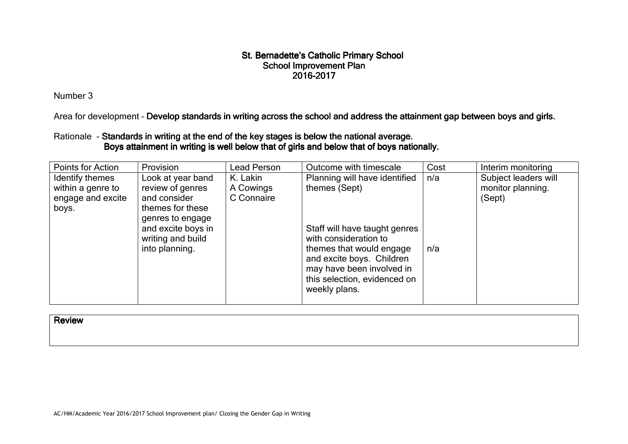Number 3

Area for development - D<mark>evelop standards in writing across the school and address the attainment gap between boys and girls.</mark>

## Rationale - Standards in writing at the end of the key stages is below the national average. Boys attainment in writing is well below that of girls and below that of boys nationally.

| Points for Action                                                  | Provision                                                                                                                                                  | Lead Person                         | Outcome with timescale                                                                                                                                                                                                         | Cost       | Interim monitoring                                  |
|--------------------------------------------------------------------|------------------------------------------------------------------------------------------------------------------------------------------------------------|-------------------------------------|--------------------------------------------------------------------------------------------------------------------------------------------------------------------------------------------------------------------------------|------------|-----------------------------------------------------|
| Identify themes<br>within a genre to<br>engage and excite<br>boys. | Look at year band<br>review of genres<br>and consider<br>themes for these<br>genres to engage<br>and excite boys in<br>writing and build<br>into planning. | K. Lakin<br>A Cowings<br>C Connaire | Planning will have identified<br>themes (Sept)<br>Staff will have taught genres<br>with consideration to<br>themes that would engage<br>and excite boys. Children<br>may have been involved in<br>this selection, evidenced on | n/a<br>n/a | Subject leaders will<br>monitor planning.<br>(Sept) |
|                                                                    |                                                                                                                                                            |                                     | weekly plans.                                                                                                                                                                                                                  |            |                                                     |

**Review**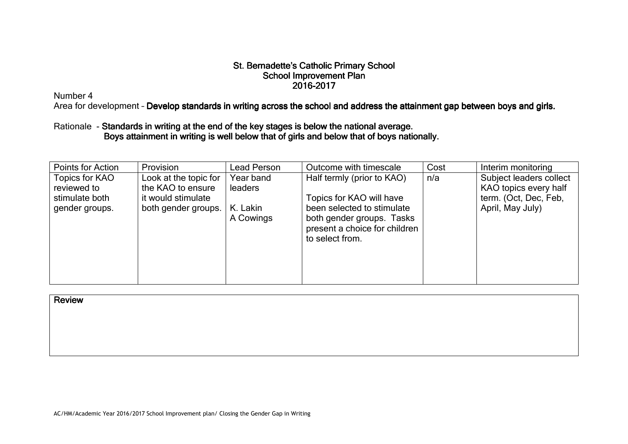Number 4

Area for development - D<mark>evelop standards in writing across the school and address the attainment gap between boys and girls.</mark>

## Rationale - Standards in writing at the end of the key stages is below the national average Standards in writing at the end of the key stages is below the national average.<br>Boys attainment in writing is well below that of girls and below that of boys nationally.

| Points for Action                                                 | Provision                                                                               | Lead Person                                          | Outcome with timescale                                                                                                                                                | Cost | Interim monitoring                                                                            |
|-------------------------------------------------------------------|-----------------------------------------------------------------------------------------|------------------------------------------------------|-----------------------------------------------------------------------------------------------------------------------------------------------------------------------|------|-----------------------------------------------------------------------------------------------|
| Topics for KAO<br>reviewed to<br>stimulate both<br>gender groups. | Look at the topic for<br>the KAO to ensure<br>it would stimulate<br>both gender groups. | Year band<br><b>leaders</b><br>K. Lakin<br>A Cowings | Half termly (prior to KAO)<br>Topics for KAO will have<br>been selected to stimulate<br>both gender groups. Tasks<br>present a choice for children<br>to select from. | n/a  | Subject leaders collect<br>KAO topics every half<br>term. (Oct, Dec, Feb,<br>April, May July) |

#### **Review**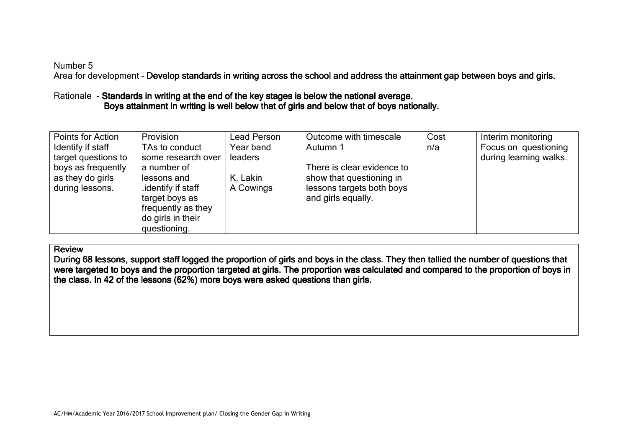#### Number 5

Area for development - <mark>Develop standards in writing across the school and address the attainment gap between boys and girls.</mark>

# Rationale - Standards in writing at the end of the key stages is below the national average. Boys attainment in writing is well below that of girls and below that of boys nationally.

| Points for Action   | Provision          | Lead Person    | Outcome with timescale     | Cost | Interim monitoring     |
|---------------------|--------------------|----------------|----------------------------|------|------------------------|
| Identify if staff   | TAs to conduct     | Year band      | Autumn 1                   | n/a  | Focus on questioning   |
| target questions to | some research over | <b>leaders</b> |                            |      | during learning walks. |
| boys as frequently  | a number of        |                | There is clear evidence to |      |                        |
| as they do girls    | lessons and        | K. Lakin       | show that questioning in   |      |                        |
| during lessons.     | identify if staff  | A Cowings      | lessons targets both boys  |      |                        |
|                     | target boys as     |                | and girls equally.         |      |                        |
|                     | frequently as they |                |                            |      |                        |
|                     | do girls in their  |                |                            |      |                        |
|                     | questioning.       |                |                            |      |                        |

#### **Review**

During 68 lessons, support staff logged the proportion of girls and boys in the class. They then tallied the number of questions that were targeted to boys and the proportion targeted at girls. The proportion was calculated and compared to the proportion of boys in the class. In 42 of the lessons  $(62%)$  more boys were asked questions than girls.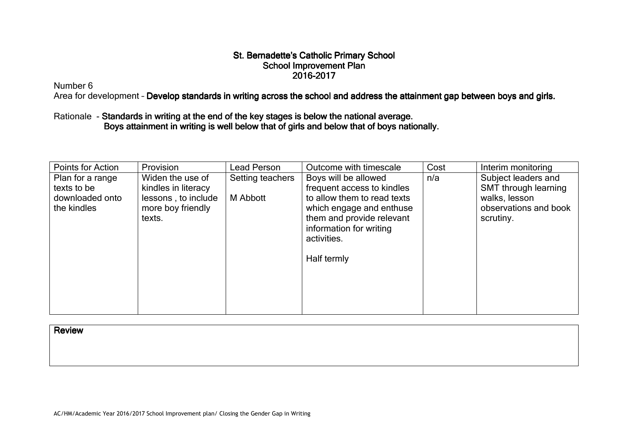Number 6

Area for development - D<mark>evelop standards in writing across the school and address the attainment gap between boys and girls.</mark>

# Rationale - Standards in writing at the end of the key stages is below the national average. Boys attainment in writing is well below that of girls and below that of boys nationally.

| Points for Action                                                 | Provision                                                                                     | Lead Person                         | Outcome with timescale                                                                                                                                                                              | Cost | Interim monitoring                                                                                 |
|-------------------------------------------------------------------|-----------------------------------------------------------------------------------------------|-------------------------------------|-----------------------------------------------------------------------------------------------------------------------------------------------------------------------------------------------------|------|----------------------------------------------------------------------------------------------------|
| Plan for a range<br>texts to be<br>downloaded onto<br>the kindles | Widen the use of<br>kindles in literacy<br>lessons, to include<br>more boy friendly<br>texts. | Setting teachers<br><b>M</b> Abbott | Boys will be allowed<br>frequent access to kindles<br>to allow them to read texts<br>which engage and enthuse<br>them and provide relevant<br>information for writing<br>activities.<br>Half termly | n/a  | Subject leaders and<br>SMT through learning<br>walks, lesson<br>observations and book<br>scrutiny. |

**Review**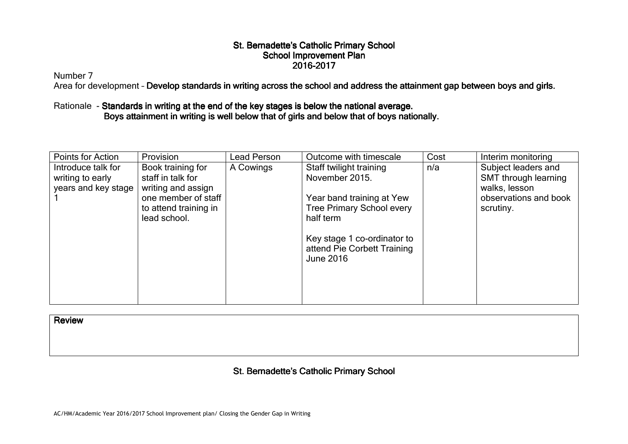Number 7

Area for development - D<mark>evelop standards in writing across the school and address the attainment gap between boys and girls.</mark>

## Rationale - Standards in writing at the end of the key stages is below the national average. Boys attainment in writing is well below that of girls and below that of boys nationally.

| Points for Action                                             | Provision                                                                                                                    | <b>Lead Person</b> | Outcome with timescale                                                                                                  | Cost | Interim monitoring                                                                                 |
|---------------------------------------------------------------|------------------------------------------------------------------------------------------------------------------------------|--------------------|-------------------------------------------------------------------------------------------------------------------------|------|----------------------------------------------------------------------------------------------------|
| Introduce talk for<br>writing to early<br>years and key stage | Book training for<br>staff in talk for<br>writing and assign<br>one member of staff<br>to attend training in<br>lead school. | A Cowings          | Staff twilight training<br>November 2015.<br>Year band training at Yew<br><b>Tree Primary School every</b><br>half term | n/a  | Subject leaders and<br>SMT through learning<br>walks, lesson<br>observations and book<br>scrutiny. |
|                                                               |                                                                                                                              |                    | Key stage 1 co-ordinator to<br>attend Pie Corbett Training<br>June 2016                                                 |      |                                                                                                    |

**Review**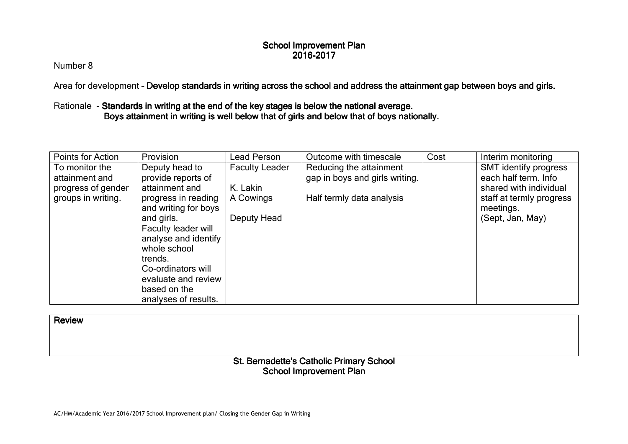Number 8

Area for development - <mark>Develop standards in writing across the school and address the attainment gap between boys and girls.</mark>

## Rationale - Standards in writing at the end of the key stages is below the national average. Boys attainment in writing is well below that of girls and below that of boys nationally.

| Points for Action  | Provision            | Lead Person           | Outcome with timescale         | Cost | Interim monitoring       |
|--------------------|----------------------|-----------------------|--------------------------------|------|--------------------------|
| To monitor the     | Deputy head to       | <b>Faculty Leader</b> | Reducing the attainment        |      | SMT identify progress    |
| attainment and     | provide reports of   |                       | gap in boys and girls writing. |      | each half term. Info     |
| progress of gender | attainment and       | K. Lakin              |                                |      | shared with individual   |
| groups in writing. | progress in reading  | A Cowings             | Half termly data analysis      |      | staff at termly progress |
|                    | and writing for boys |                       |                                |      | meetings.                |
|                    | and girls.           | Deputy Head           |                                |      | (Sept, Jan, May)         |
|                    | Faculty leader will  |                       |                                |      |                          |
|                    | analyse and identify |                       |                                |      |                          |
|                    | whole school         |                       |                                |      |                          |
|                    | trends.              |                       |                                |      |                          |
|                    | Co-ordinators will   |                       |                                |      |                          |
|                    | evaluate and review  |                       |                                |      |                          |
|                    | based on the         |                       |                                |      |                          |
|                    | analyses of results. |                       |                                |      |                          |

**Review** 

## St. Bernadette's Catholic Primary School School Improvement Plan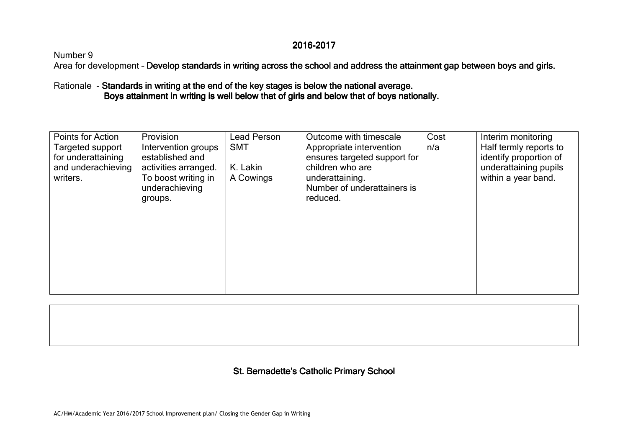## 2016-2017

# Number 9

Area for development - D<mark>evelop standards in writing across the school and address the attainment gap between boys and girls.</mark>

Rationale - Standards in writing at the end of the key stages is below the national average. s national average Boys attainment in writing is well below that of girls and below that of boys nationally.

| Points for Action                                                        | Provision                                                                                                          | Lead Person                         | Outcome with timescale                                                                                                                     | Cost | Interim monitoring                                                                               |
|--------------------------------------------------------------------------|--------------------------------------------------------------------------------------------------------------------|-------------------------------------|--------------------------------------------------------------------------------------------------------------------------------------------|------|--------------------------------------------------------------------------------------------------|
| Targeted support<br>for underattaining<br>and underachieving<br>writers. | Intervention groups<br>established and<br>activities arranged.<br>To boost writing in<br>underachieving<br>groups. | <b>SMT</b><br>K. Lakin<br>A Cowings | Appropriate intervention<br>ensures targeted support for<br>children who are<br>underattaining.<br>Number of underattainers is<br>reduced. | n/a  | Half termly reports to<br>identify proportion of<br>underattaining pupils<br>within a year band. |
|                                                                          |                                                                                                                    |                                     |                                                                                                                                            |      |                                                                                                  |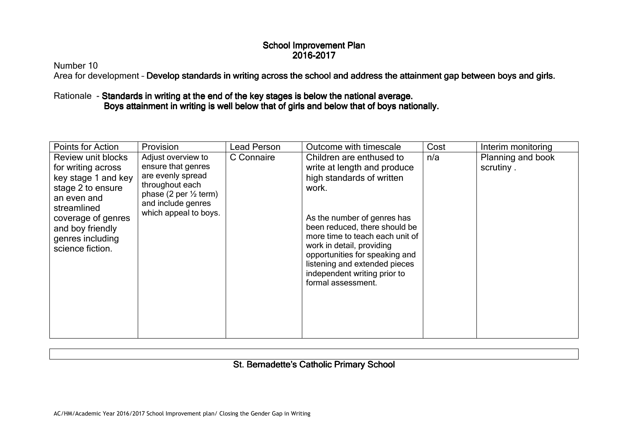Number 10

Area for development - D<mark>evelop standards in writing across the school and address the attainment gap between boys and girls.</mark>

# Rationale - Standards in writing at the end of the key stages is below the national average. Boys attainment in writing is well below that of girls and below that of boys nationally.

| Points for Action                                                                                                                                                                                    | Provision                                                                                                                                                           | Lead Person | Outcome with timescale                                                                                                                                                                                                                                                                                                                                 | Cost | Interim monitoring             |
|------------------------------------------------------------------------------------------------------------------------------------------------------------------------------------------------------|---------------------------------------------------------------------------------------------------------------------------------------------------------------------|-------------|--------------------------------------------------------------------------------------------------------------------------------------------------------------------------------------------------------------------------------------------------------------------------------------------------------------------------------------------------------|------|--------------------------------|
| Review unit blocks<br>for writing across<br>key stage 1 and key<br>stage 2 to ensure<br>an even and<br>streamlined<br>coverage of genres<br>and boy friendly<br>genres including<br>science fiction. | Adjust overview to<br>ensure that genres<br>are evenly spread<br>throughout each<br>phase (2 per $\frac{1}{2}$ term)<br>and include genres<br>which appeal to boys. | C Connaire  | Children are enthused to<br>write at length and produce<br>high standards of written<br>work.<br>As the number of genres has<br>been reduced, there should be<br>more time to teach each unit of<br>work in detail, providing<br>opportunities for speaking and<br>listening and extended pieces<br>independent writing prior to<br>formal assessment. | n/a  | Planning and book<br>scrutiny. |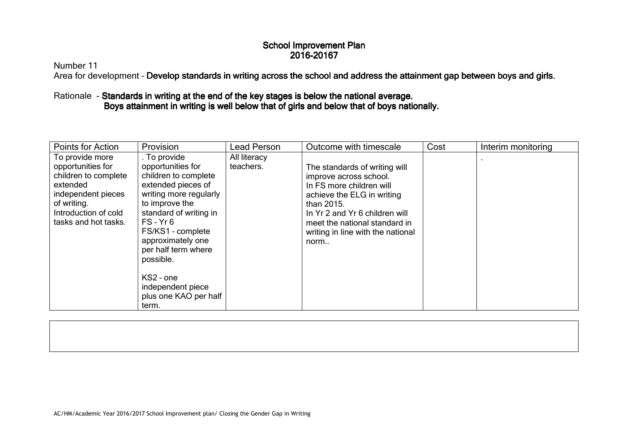Number 11

Area for development - D<mark>evelop standards in writing across the school and address the attainment gap between boys and girls.</mark>

# Rationale - Standards in writing at the end of the key stages is below the national average. Boys attainment in writing is well below that of girls and below that of boys nationally.

| Points for Action                                                                                                                                             | Provision                                                                                                                                                                                                                                                                                                              | Lead Person               | Outcome with timescale                                                                                                                                                                                                                          | Cost | Interim monitoring |
|---------------------------------------------------------------------------------------------------------------------------------------------------------------|------------------------------------------------------------------------------------------------------------------------------------------------------------------------------------------------------------------------------------------------------------------------------------------------------------------------|---------------------------|-------------------------------------------------------------------------------------------------------------------------------------------------------------------------------------------------------------------------------------------------|------|--------------------|
| To provide more<br>opportunities for<br>children to complete<br>extended<br>independent pieces<br>of writing.<br>Introduction of cold<br>tasks and hot tasks. | . To provide<br>opportunities for<br>children to complete<br>extended pieces of<br>writing more regularly<br>to improve the<br>standard of writing in<br>$FS - Yr 6$<br>FS/KS1 - complete<br>approximately one<br>per half term where<br>possible.<br>KS2 - one<br>independent piece<br>plus one KAO per half<br>term. | All literacy<br>teachers. | The standards of writing will<br>improve across school.<br>In FS more children will<br>achieve the ELG in writing<br>than 2015.<br>In Yr 2 and Yr 6 children will<br>meet the national standard in<br>writing in line with the national<br>norm |      |                    |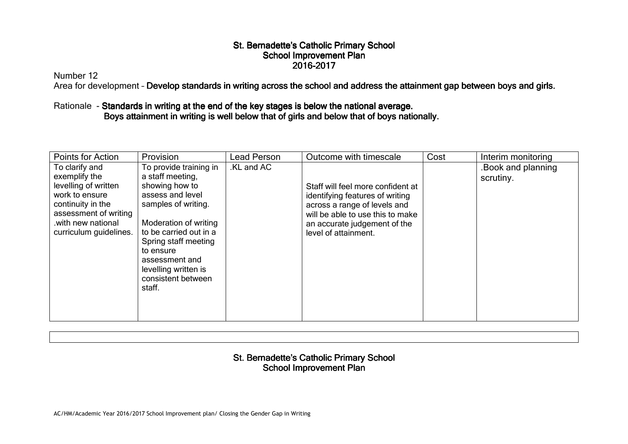Number 12

Area for development - D<mark>evelop standards in writing across the school and address the attainment gap between boys and girls.</mark>

# Rationale - Standards in writing at the end of the key stages is below the national average. Boys attainment in writing is well below that of girls and below that of boys nationally.

| Points for Action                                                                                                                                                       | Provision                                                                                                                                                                                                                                                                 | Lead Person | Outcome with timescale                                                                                                                                                                           | Cost | Interim monitoring             |
|-------------------------------------------------------------------------------------------------------------------------------------------------------------------------|---------------------------------------------------------------------------------------------------------------------------------------------------------------------------------------------------------------------------------------------------------------------------|-------------|--------------------------------------------------------------------------------------------------------------------------------------------------------------------------------------------------|------|--------------------------------|
| To clarify and<br>exemplify the<br>levelling of written<br>work to ensure<br>continuity in the<br>assessment of writing<br>.with new national<br>curriculum guidelines. | To provide training in<br>a staff meeting,<br>showing how to<br>assess and level<br>samples of writing.<br>Moderation of writing<br>to be carried out in a<br>Spring staff meeting<br>to ensure<br>assessment and<br>levelling written is<br>consistent between<br>staff. | .KL and AC  | Staff will feel more confident at<br>identifying features of writing<br>across a range of levels and<br>will be able to use this to make<br>an accurate judgement of the<br>level of attainment. |      | Book and planning<br>scrutiny. |

## St. Bernadette's Catholic Primary School School Improvement Plan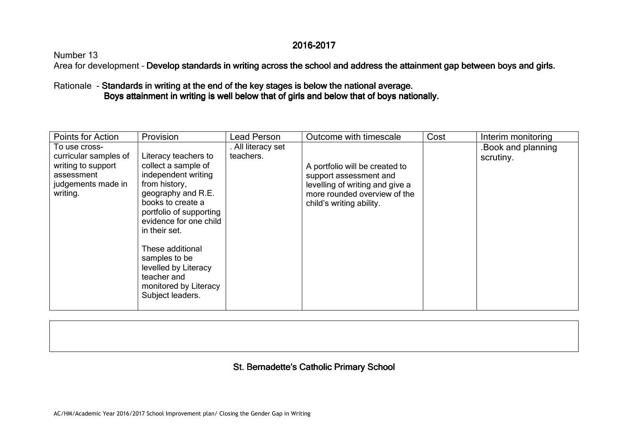# 2016-2017

# Number 13

Area for development - D<mark>evelop standards in writing across the school and address the attainment gap between boys and girls.</mark>

# Rationale - Standards in writing at the end of the key stages is below the national average. s national average Boys attainment in writing is well below that of girls and below that of boys nationally.

| Points for Action                                                                                            | Provision                                                                                                                                                                                                                                                                                                                     | ∟ead Person                     | Outcome with timescale                                                                                                                                  | Cost | Interim monitoring             |
|--------------------------------------------------------------------------------------------------------------|-------------------------------------------------------------------------------------------------------------------------------------------------------------------------------------------------------------------------------------------------------------------------------------------------------------------------------|---------------------------------|---------------------------------------------------------------------------------------------------------------------------------------------------------|------|--------------------------------|
| To use cross-<br>curricular samples of<br>writing to support<br>assessment<br>judgements made in<br>writing. | Literacy teachers to<br>collect a sample of<br>independent writing<br>from history,<br>geography and R.E.<br>books to create a<br>portfolio of supporting<br>evidence for one child<br>in their set.<br>These additional<br>samples to be<br>levelled by Literacy<br>teacher and<br>monitored by Literacy<br>Subject leaders. | . All literacy set<br>teachers. | A portfolio will be created to<br>support assessment and<br>levelling of writing and give a<br>more rounded overview of the<br>child's writing ability. |      | Book and planning<br>scrutiny. |